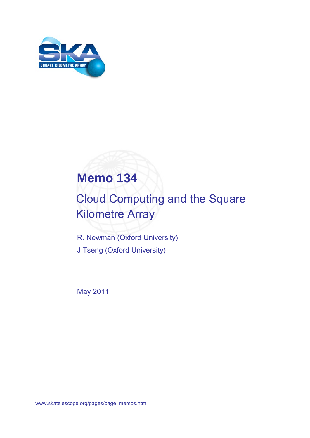

# **Memo 134**

# Cloud Computing and the Square Kilometre Array

R. Newman (Oxford University) J Tseng (Oxford University)

May 2011

www.skatelescope.org/pages/page\_memos.htm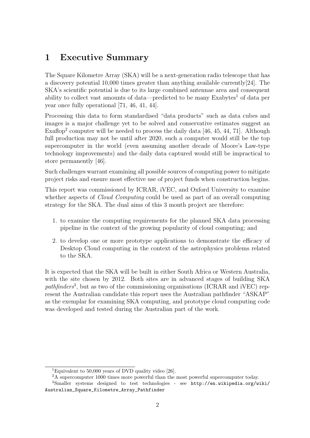## 1 Executive Summary

The Square Kilometre Array (SKA) will be a next-generation radio telescope that has a discovery potential 10,000 times greater than anything available currently[24]. The SKA's scientific potential is due to its large combined antennae area and consequent ability to collect vast amounts of data—predicted to be many Exabytes<sup>1</sup> of data per year once fully operational [71, 46, 41, 44].

Processing this data to form standardised "data products" such as data cubes and images is a major challenge yet to be solved and conservative estimates suggest an Exaflop<sup>2</sup> computer will be needed to process the daily data  $[46, 45, 44, 71]$ . Although full production may not be until after 2020, such a computer would still be the top supercomputer in the world (even assuming another decade of Moore's Law-type technology improvements) and the daily data captured would still be impractical to store permanently [46].

Such challenges warrant examining all possible sources of computing power to mitigate project risks and ensure most effective use of project funds when construction begins.

This report was commissioned by ICRAR, iVEC, and Oxford University to examine whether aspects of *Cloud Computing* could be used as part of an overall computing strategy for the SKA. The dual aims of this 3 month project are therefore:

- 1. to examine the computing requirements for the planned SKA data processing pipeline in the context of the growing popularity of cloud computing; and
- 2. to develop one or more prototype applications to demonstrate the efficacy of Desktop Cloud computing in the context of the astrophysics problems related to the SKA.

It is expected that the SKA will be built in either South Africa or Western Australia, with the site chosen by 2012. Both sites are in advanced stages of building SKA pathfinders<sup>3</sup>, but as two of the commissioning organisations (ICRAR and iVEC) represent the Australian candidate this report uses the Australian pathfinder "ASKAP" as the exemplar for examining SKA computing, and prototype cloud computing code was developed and tested during the Australian part of the work.

<sup>&</sup>lt;sup>1</sup>Equivalent to 50,000 years of DVD quality video [26].

<sup>2</sup>A supercomputer 1000 times more powerful than the most powerful supercomputer today.

<sup>3</sup>Smaller systems designed to test technologies - see http://en.wikipedia.org/wiki/ Australian\_Square\_Kilometre\_Array\_Pathfinder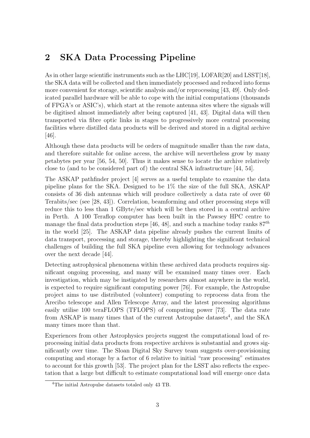# 2 SKA Data Processing Pipeline

As in other large scientific instruments such as the LHC[19], LOFAR[20] and LSST[18], the SKA data will be collected and then immediately processed and reduced into forms more convenient for storage, scientific analysis and/or reprocessing [43, 49]. Only dedicated parallel hardware will be able to cope with the initial computations (thousands of FPGA's or ASIC's), which start at the remote antenna sites where the signals will be digitised almost immediately after being captured [41, 43]. Digital data will then transported via fibre optic links in stages to progressively more central processing facilities where distilled data products will be derived and stored in a digital archive [46].

Although these data products will be orders of magnitude smaller than the raw data, and therefore suitable for online access, the archive will nevertheless grow by many petabytes per year [56, 54, 50]. Thus it makes sense to locate the archive relatively close to (and to be considered part of) the central SKA infrastructure [44, 54].

The ASKAP pathfinder project [4] serves as a useful template to examine the data pipeline plans for the SKA. Designed to be 1% the size of the full SKA, ASKAP consists of 36 dish antennas which will produce collectively a data rate of over 60 Terabits/sec (see [28, 43]). Correlation, beamforming and other processing steps will reduce this to less than 1 GByte/sec which will be then stored in a central archive in Perth. A 100 Teraflop computer has been built in the Pawsey HPC centre to manage the final data production steps [46, 48], and such a machine today ranks  $87<sup>th</sup>$ in the world [25]. The ASKAP data pipeline already pushes the current limits of data transport, processing and storage, thereby highlighting the significant technical challenges of building the full SKA pipeline even allowing for technology advances over the next decade [44].

Detecting astrophysical phenomena within these archived data products requires significant ongoing processing, and many will be examined many times over. Each investigation, which may be instigated by researchers almost anywhere in the world, is expected to require significant computing power [76]. For example, the Astropulse project aims to use distributed (volunteer) computing to reprocess data from the Arecibo telescope and Allen Telescope Array, and the latest processing algorithms easily utilise 100 teraFLOPS (TFLOPS) of computing power [73]. The data rate from  $ASKAP$  is many times that of the current Astropulse datasets<sup>4</sup>, and the SKA many times more than that.

Experiences from other Astrophysics projects suggest the computational load of reprocessing initial data products from respective archives is substantial and grows significantly over time. The Sloan Digital Sky Survey team suggests over-provisioning computing and storage by a factor of 6 relative to initial "raw processing" estimates to account for this growth [53]. The project plan for the LSST also reflects the expectation that a large but difficult to estimate computational load will emerge once data

<sup>4</sup>The initial Astropulse datasets totaled only 43 TB.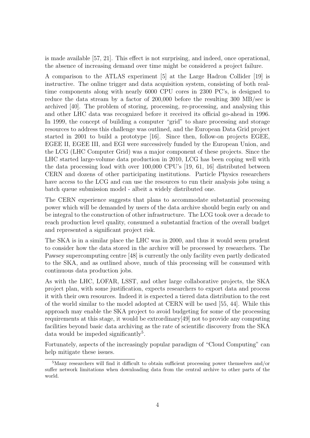is made available [57, 21]. This effect is not surprising, and indeed, once operational, the absence of increasing demand over time might be considered a project failure.

A comparison to the ATLAS experiment [5] at the Large Hadron Collider [19] is instructive. The online trigger and data acquisition system, consisting of both realtime components along with nearly 6000 CPU cores in 2300 PC's, is designed to reduce the data stream by a factor of 200,000 before the resulting 300 MB/sec is archived [40]. The problem of storing, processing, re-processing, and analysing this and other LHC data was recognized before it received its official go-ahead in 1996. In 1999, the concept of building a computer "grid" to share processing and storage resources to address this challenge was outlined, and the European Data Grid project started in 2001 to build a prototype [16]. Since then, follow-on projects EGEE, EGEE II, EGEE III, and EGI were successively funded by the European Union, and the LCG (LHC Computer Grid) was a major component of these projects. Since the LHC started large-volume data production in 2010, LCG has been coping well with the data processing load with over 100,000 CPU's [19, 61, 16] distributed between CERN and dozens of other participating institutions. Particle Physics researchers have access to the LCG and can use the resources to run their analysis jobs using a batch queue submission model - albeit a widely distributed one.

The CERN experience suggests that plans to accommodate substantial processing power which will be demanded by users of the data archive should begin early on and be integral to the construction of other infrastructure. The LCG took over a decade to reach production level quality, consumed a substantial fraction of the overall budget and represented a significant project risk.

The SKA is in a similar place the LHC was in 2000, and thus it would seem prudent to consider how the data stored in the archive will be processed by researchers. The Pawsey supercomputing centre [48] is currently the only facility even partly dedicated to the SKA, and as outlined above, much of this processing will be consumed with continuous data production jobs.

As with the LHC, LOFAR, LSST, and other large collaborative projects, the SKA project plan, with some justification, expects researchers to export data and process it with their own resources. Indeed it is expected a tiered data distribution to the rest of the world similar to the model adopted at CERN will be used [55, 44]. While this approach may enable the SKA project to avoid budgeting for some of the processing requirements at this stage, it would be extrordinary[49] not to provide any computing facilities beyond basic data archiving as the rate of scientific discovery from the SKA data would be impeded significantly<sup>5</sup>.

Fortunately, aspects of the increasingly popular paradigm of "Cloud Computing" can help mitigate these issues.

<sup>5</sup>Many researchers will find it difficult to obtain sufficient processing power themselves and/or suffer network limitations when downloading data from the central archive to other parts of the world.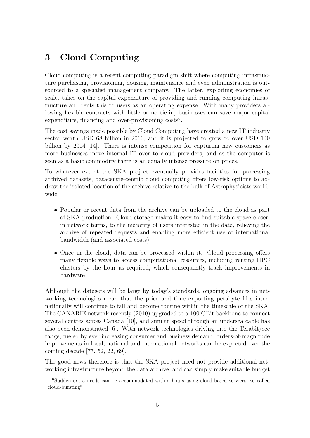## 3 Cloud Computing

Cloud computing is a recent computing paradigm shift where computing infrastructure purchasing, provisioning, housing, maintenance and even administration is outsourced to a specialist management company. The latter, exploiting economies of scale, takes on the capital expenditure of providing and running computing infrastructure and rents this to users as an operating expense. With many providers allowing flexible contracts with little or no tie-in, businesses can save major capital expenditure, financing and over-provisioning costs<sup>6</sup>.

The cost savings made possible by Cloud Computing have created a new IT industry sector worth USD 68 billion in 2010, and it is projected to grow to over USD 140 billion by 2014 [14]. There is intense competition for capturing new customers as more businesses move internal IT over to cloud providers, and as the computer is seen as a basic commodity there is an equally intense pressure on prices.

To whatever extent the SKA project eventually provides facilities for processing archived datasets, datacentre-centric cloud computing offers low-risk options to address the isolated location of the archive relative to the bulk of Astrophysicists worldwide:

- Popular or recent data from the archive can be uploaded to the cloud as part of SKA production. Cloud storage makes it easy to find suitable space closer, in network terms, to the majority of users interested in the data, relieving the archive of repeated requests and enabling more efficient use of international bandwidth (and associated costs).
- Once in the cloud, data can be processed within it. Cloud processing offers many flexible ways to access computational resources, including renting HPC clusters by the hour as required, which consequently track improvements in hardware.

Although the datasets will be large by today's standards, ongoing advances in networking technologies mean that the price and time exporting petabyte files internationally will continue to fall and become routine within the timescale of the SKA. The CANARIE network recently (2010) upgraded to a 100 GBit backbone to connect several centres across Canada [10], and similar speed through an undersea cable has also been demonstrated [6]. With network technologies driving into the Terabit/sec range, fueled by ever increasing consumer and business demand, orders-of-magnitude improvements in local, national and international networks can be expected over the coming decade [77, 52, 22, 69].

The good news therefore is that the SKA project need not provide additional networking infrastructure beyond the data archive, and can simply make suitable budget

<sup>6</sup>Sudden extra needs can be accommodated within hours using cloud-based services; so called "cloud-bursting"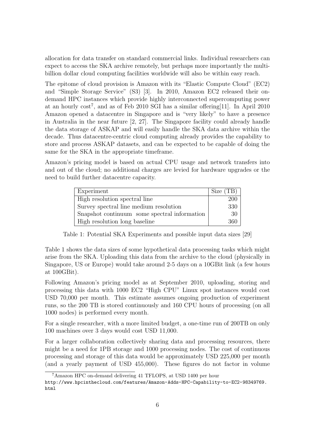allocation for data transfer on standard commercial links. Individual researchers can expect to access the SKA archive remotely, but perhaps more importantly the multibillion dollar cloud computing facilities worldwide will also be within easy reach.

The epitome of cloud provision is Amazon with its "Elastic Compute Cloud" (EC2) and "Simple Storage Service" (S3) [3]. In 2010, Amazon EC2 released their ondemand HPC instances which provide highly interconnected supercomputing power at an hourly cost<sup>7</sup>, and as of Feb 2010 SGI has a similar offering [11]. In April 2010 Amazon opened a datacentre in Singapore and is "very likely" to have a presence in Australia in the near future [2, 27]. The Singapore facility could already handle the data storage of ASKAP and will easily handle the SKA data archive within the decade. Thus datacentre-centric cloud computing already provides the capability to store and process ASKAP datasets, and can be expected to be capable of doing the same for the SKA in the appropriate timeframe.

Amazon's pricing model is based on actual CPU usage and network transfers into and out of the cloud; no additional charges are levied for hardware upgrades or the need to build further datacentre capacity.

| Experiment                                   | Size (TB) |
|----------------------------------------------|-----------|
| High resolution spectral line                | 200       |
| Survey spectral line medium resolution       | 330       |
| Snapshot continuum some spectral information | 30        |
| High resolution long baseline                | 360       |

Table 1: Potential SKA Experiments and possible input data sizes [29]

Table 1 shows the data sizes of some hypothetical data processing tasks which might arise from the SKA. Uploading this data from the archive to the cloud (physically in Singapore, US or Europe) would take around 2-5 days on a 10GBit link (a few hours at 100GBit).

Following Amazon's pricing model as at September 2010, uploading, storing and processing this data with 1000 EC2 "High CPU" Linux spot instances would cost USD 70,000 per month. This estimate assumes ongoing production of experiment runs, so the 200 TB is stored continuously and 160 CPU hours of processing (on all 1000 nodes) is performed every month.

For a single researcher, with a more limited budget, a one-time run of 200TB on only 100 machines over 3 days would cost USD 11,000.

For a larger collaboration collectively sharing data and processing resources, there might be a need for 1PB storage and 1000 processing nodes. The cost of continuous processing and storage of this data would be approximately USD 225,000 per month (and a yearly payment of USD 455,000). These figures do not factor in volume

<sup>7</sup>Amazon HPC on-demand delivering 41 TFLOPS, at USD 1400 per hour

http://www.hpcinthecloud.com/features/Amazon-Adds-HPC-Capability-to-EC2-98349769. html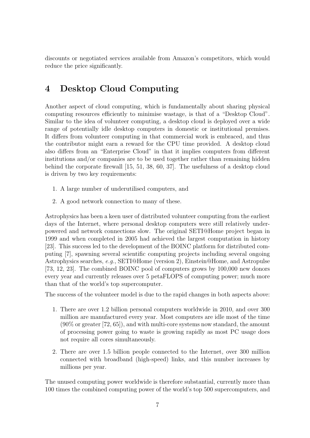discounts or negotiated services available from Amazon's competitors, which would reduce the price significantly.

## 4 Desktop Cloud Computing

Another aspect of cloud computing, which is fundamentally about sharing physical computing resources efficiently to minimise wastage, is that of a "Desktop Cloud". Similar to the idea of volunteer computing, a desktop cloud is deployed over a wide range of potentially idle desktop computers in domestic or institutional premises. It differs from volunteer computing in that commercial work is embraced, and thus the contributor might earn a reward for the CPU time provided. A desktop cloud also differs from an "Enterprise Cloud" in that it implies computers from different institutions and/or companies are to be used together rather than remaining hidden behind the corporate firewall [15, 51, 38, 60, 37]. The usefulness of a desktop cloud is driven by two key requirements:

- 1. A large number of underutilised computers, and
- 2. A good network connection to many of these.

Astrophysics has been a keen user of distributed volunteer computing from the earliest days of the Internet, where personal desktop computers were still relatively underpowered and network connections slow. The original SETI@Home project began in 1999 and when completed in 2005 had achieved the largest computation in history [23]. This success led to the development of the BOINC platform for distributed computing [7], spawning several scientific computing projects including several ongoing Astrophysics searches, e.g., SETI@Home (version 2), Einstein@Home, and Astropulse [73, 12, 23]. The combined BOINC pool of computers grows by 100,000 new donors every year and currently releases over 5 petaFLOPS of computing power; much more than that of the world's top supercomputer.

The success of the volunteer model is due to the rapid changes in both aspects above:

- 1. There are over 1.2 billion personal computers worldwide in 2010, and over 300 million are manufactured every year. Most computers are idle most of the time (90% or greater [72, 65]), and with multi-core systems now standard, the amount of processing power going to waste is growing rapidly as most PC usage does not require all cores simultaneously.
- 2. There are over 1.5 billion people connected to the Internet, over 300 million connected with broadband (high-speed) links, and this number increases by millions per year.

The unused computing power worldwide is therefore substantial, currently more than 100 times the combined computing power of the world's top 500 supercomputers, and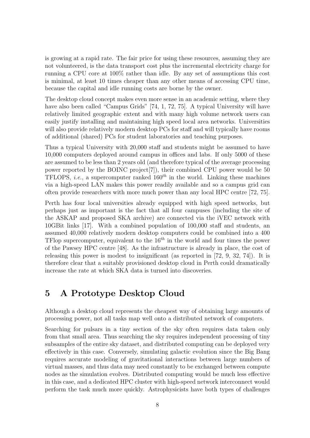is growing at a rapid rate. The fair price for using these resources, assuming they are not volunteered, is the data transport cost plus the incremental electricity charge for running a CPU core at 100% rather than idle. By any set of assumptions this cost is minimal, at least 10 times cheaper than any other means of accessing CPU time, because the capital and idle running costs are borne by the owner.

The desktop cloud concept makes even more sense in an academic setting, where they have also been called "Campus Grids" [74, 1, 72, 75]. A typical University will have relatively limited geographic extent and with many high volume network users can easily justify installing and maintaining high speed local area networks. Universities will also provide relatively modern desktop PCs for staff and will typically have rooms of additional (shared) PCs for student laboratories and teaching purposes.

Thus a typical University with 20,000 staff and students might be assumed to have 10,000 computers deployed around campus in offices and labs. If only 5000 of these are assumed to be less than 2 years old (and therefore typical of the average processing power reported by the BOINC project[7]), their combined CPU power would be 50 TFLOPS, *i.e.*, a supercomputer ranked  $160<sup>th</sup>$  in the world. Linking these machines via a high-speed LAN makes this power readily available and so a campus grid can often provide researchers with more much power than any local HPC centre [72, 75].

Perth has four local universities already equipped with high speed networks, but perhaps just as important is the fact that all four campuses (including the site of the ASKAP and proposed SKA archive) are connected via the iVEC network with 10GBit links [17]. With a combined population of 100,000 staff and students, an assumed 40,000 relatively modern desktop computers could be combined into a 400 TFlop supercomputer, equivalent to the  $16^{th}$  in the world and four times the power of the Pawsey HPC centre [48]. As the infrastructure is already in place, the cost of releasing this power is modest to insignificant (as reported in [72, 9, 32, 74]). It is therefore clear that a suitably provisioned desktop cloud in Perth could dramatically increase the rate at which SKA data is turned into discoveries.

## 5 A Prototype Desktop Cloud

Although a desktop cloud represents the cheapest way of obtaining large amounts of processing power, not all tasks map well onto a distributed network of computers.

Searching for pulsars in a tiny section of the sky often requires data taken only from that small area. Thus searching the sky requires independent processing of tiny subsamples of the entire sky dataset, and distributed computing can be deployed very effectively in this case. Conversely, simulating galactic evolution since the Big Bang requires accurate modeling of gravitational interactions between large numbers of virtual masses, and thus data may need constantly to be exchanged between compute nodes as the simulation evolves. Distributed computing would be much less effective in this case, and a dedicated HPC cluster with high-speed network interconnect would perform the task much more quickly. Astrophysicists have both types of challenges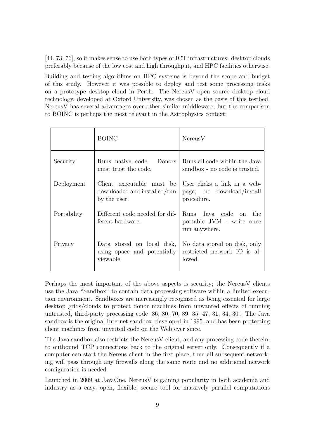[44, 73, 76], so it makes sense to use both types of ICT infrastructures: desktop clouds preferably because of the low cost and high throughput, and HPC facilities otherwise.

Building and testing algorithms on HPC systems is beyond the scope and budget of this study. However it was possible to deploy and test some processing tasks on a prototype desktop cloud in Perth. The NereusV open source desktop cloud technology, developed at Oxford University, was chosen as the basis of this testbed. NereusV has several advantages over other similar middleware, but the comparison to BOINC is perhaps the most relevant in the Astrophysics context:

|             | <b>BOINC</b>                                                              | NereusV                                                                 |
|-------------|---------------------------------------------------------------------------|-------------------------------------------------------------------------|
| Security    | Runs native code. Donors<br>must trust the code.                          | Runs all code within the Java<br>sandbox - no code is trusted.          |
| Deployment  | Client executable must be<br>downloaded and installed/run<br>by the user. | User clicks a link in a web-<br>page; no download/install<br>procedure. |
| Portability | Different code needed for dif-<br>ferent hardware.                        | Runs Java code on the<br>portable JVM - write once<br>run anywhere.     |
| Privacy     | Data stored on local disk,<br>using space and potentially<br>viewable.    | No data stored on disk, only<br>restricted network IO is al-<br>lowed.  |

Perhaps the most important of the above aspects is security; the NereusV clients use the Java "Sandbox" to contain data processing software within a limited execution environment. Sandboxes are increasingly recognised as being essential for large desktop grids/clouds to protect donor machines from unwanted effects of running untrusted, third-party processing code [36, 80, 70, 39, 35, 47, 31, 34, 30]. The Java sandbox is the original Internet sandbox, developed in 1995, and has been protecting client machines from unvetted code on the Web ever since.

The Java sandbox also restricts the NereusV client, and any processing code therein, to outbound TCP connections back to the original server only. Consequently if a computer can start the Nereus client in the first place, then all subsequent networking will pass through any firewalls along the same route and no additional network configuration is needed.

Launched in 2009 at JavaOne, NereusV is gaining popularity in both academia and industry as a easy, open, flexible, secure tool for massively parallel computations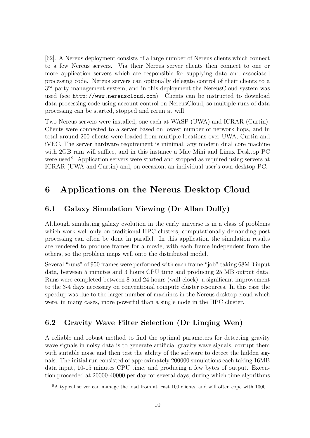[62]. A Nereus deployment consists of a large number of Nereus clients which connect to a few Nereus servers. Via their Nereus server clients then connect to one or more application servers which are responsible for supplying data and associated processing code. Nereus servers can optionally delegate control of their clients to a  $3^{rd}$  party management system, and in this deployment the NereusCloud system was used (see http://www.nereuscloud.com). Clients can be instructed to download data processing code using account control on NereusCloud, so multiple runs of data processing can be started, stopped and rerun at will.

Two Nereus servers were installed, one each at WASP (UWA) and ICRAR (Curtin). Clients were connected to a server based on lowest number of network hops, and in total around 200 clients were loaded from multiple locations over UWA, Curtin and iVEC. The server hardware requirement is minimal, any modern dual core machine with 2GB ram will suffice, and in this instance a Mac Mini and Linux Desktop PC were used<sup>8</sup>. Application servers were started and stopped as required using servers at ICRAR (UWA and Curtin) and, on occasion, an individual user's own desktop PC.

## 6 Applications on the Nereus Desktop Cloud

#### 6.1 Galaxy Simulation Viewing (Dr Allan Duffy)

Although simulating galaxy evolution in the early universe is in a class of problems which work well only on traditional HPC clusters, computationally demanding post processing can often be done in parallel. In this application the simulation results are rendered to produce frames for a movie, with each frame independent from the others, so the problem maps well onto the distributed model.

Several "runs" of 950 frames were performed with each frame "job" taking 68MB input data, between 5 minutes and 3 hours CPU time and producing 25 MB output data. Runs were completed between 8 and 24 hours (wall-clock), a significant improvement to the 3-4 days necessary on conventional compute cluster resources. In this case the speedup was due to the larger number of machines in the Nereus desktop cloud which were, in many cases, more powerful than a single node in the HPC cluster.

#### 6.2 Gravity Wave Filter Selection (Dr Linqing Wen)

A reliable and robust method to find the optimal parameters for detecting gravity wave signals in noisy data is to generate artificial gravity wave signals, corrupt them with suitable noise and then test the ability of the software to detect the hidden signals. The initial run consisted of approximately 200000 simulations each taking 16MB data input, 10-15 minutes CPU time, and producing a few bytes of output. Execution proceeded at 20000-40000 per day for several days, during which time algorithms

<sup>8</sup>A typical server can manage the load from at least 100 clients, and will often cope with 1000.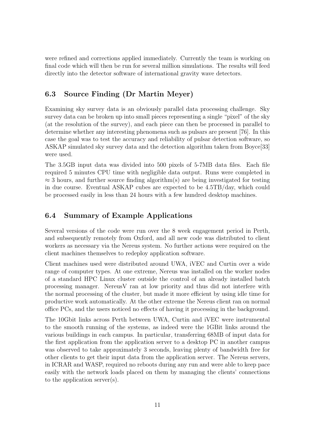were refined and corrections applied immediately. Currently the team is working on final code which will then be run for several million simulations. The results will feed directly into the detector software of international gravity wave detectors.

### 6.3 Source Finding (Dr Martin Meyer)

Examining sky survey data is an obviously parallel data processing challenge. Sky survey data can be broken up into small pieces representing a single "pixel" of the sky (at the resolution of the survey), and each piece can then be processed in parallel to determine whether any interesting phenomena such as pulsars are present [76]. In this case the goal was to test the accuracy and reliability of pulsar detection software, so ASKAP simulated sky survey data and the detection algorithm taken from Boyce[33] were used.

The 3.5GB input data was divided into 500 pixels of 5-7MB data files. Each file required 5 minutes CPU time with negligible data output. Runs were completed in  $\approx$  3 hours, and further source finding algorithm(s) are being investigated for testing in due course. Eventual ASKAP cubes are expected to be 4.5TB/day, which could be processed easily in less than 24 hours with a few hundred desktop machines.

#### 6.4 Summary of Example Applications

Several versions of the code were run over the 8 week engagement period in Perth, and subsequently remotely from Oxford, and all new code was distributed to client workers as necessary via the Nereus system. No further actions were required on the client machines themselves to redeploy application software.

Client machines used were distributed around UWA, iVEC and Curtin over a wide range of computer types. At one extreme, Nereus was installed on the worker nodes of a standard HPC Linux cluster outside the control of an already installed batch processing manager. NereusV ran at low priority and thus did not interfere with the normal processing of the cluster, but made it more efficient by using idle time for productive work automatically. At the other extreme the Nereus client ran on normal office PCs, and the users noticed no effects of having it processing in the background.

The 10Gbit links across Perth between UWA, Curtin and iVEC were instrumental to the smooth running of the systems, as indeed were the 1GBit links around the various buildings in each campus. In particular, transferring 68MB of input data for the first application from the application server to a desktop PC in another campus was observed to take approximately 3 seconds, leaving plenty of bandwidth free for other clients to get their input data from the application server. The Nereus servers, in ICRAR and WASP, required no reboots during any run and were able to keep pace easily with the network loads placed on them by managing the clients' connections to the application server(s).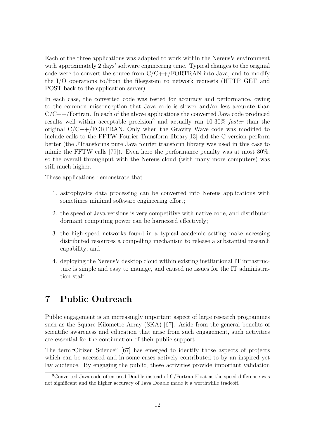Each of the three applications was adapted to work within the NereusV environment with approximately 2 days' software engineering time. Typical changes to the original code were to convert the source from  $C/C++/FORTRAN$  into Java, and to modify the I/O operations to/from the filesystem to network requests (HTTP GET and POST back to the application server).

In each case, the converted code was tested for accuracy and performance, owing to the common misconception that Java code is slower and/or less accurate than  $C/C++/Fortran$ . In each of the above applications the converted Java code produced results well within acceptable precision<sup>9</sup> and actually ran  $10\n-30\%$  *faster* than the original  $C/C++/FORTRAN$ . Only when the Gravity Wave code was modified to include calls to the FFTW Fourier Transform library[13] did the C version perform better (the JTransforms pure Java fourier transform library was used in this case to mimic the FFTW calls [79]). Even here the performance penalty was at most 30%, so the overall throughput with the Nereus cloud (with many more computers) was still much higher.

These applications demonstrate that

- 1. astrophysics data processing can be converted into Nereus applications with sometimes minimal software engineering effort;
- 2. the speed of Java versions is very competitive with native code, and distributed dormant computing power can be harnessed effectively;
- 3. the high-speed networks found in a typical academic setting make accessing distributed resources a compelling mechanism to release a substantial research capability; and
- 4. deploying the NereusV desktop cloud within existing institutional IT infrastructure is simple and easy to manage, and caused no issues for the IT administration staff.

## 7 Public Outreach

Public engagement is an increasingly important aspect of large research programmes such as the Square Kilometre Array (SKA) [67]. Aside from the general benefits of scientific awareness and education that arise from such engagement, such activities are essential for the continuation of their public support.

The term"Citizen Science" [67] has emerged to identify those aspects of projects which can be accessed and in some cases actively contributed to by an inspired yet lay audience. By engaging the public, these activities provide important validation

<sup>&</sup>lt;sup>9</sup>Converted Java code often used Double instead of C/Fortran Float as the speed difference was not significant and the higher accuracy of Java Double made it a worthwhile tradeoff.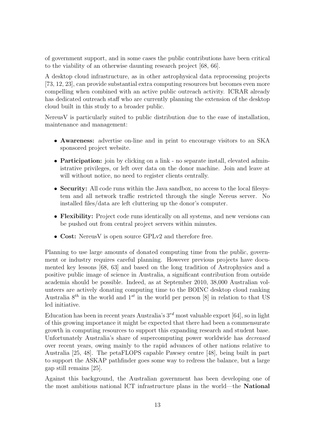of government support, and in some cases the public contributions have been critical to the viability of an otherwise daunting research project [68, 66].

A desktop cloud infrastructure, as in other astrophysical data reprocessing projects [73, 12, 23], can provide substantial extra computing resources but becomes even more compelling when combined with an active public outreach activity. ICRAR already has dedicated outreach staff who are currently planning the extension of the desktop cloud built in this study to a broader public.

NereusV is particularly suited to public distribution due to the ease of installation, maintenance and management:

- Awareness: advertise on-line and in print to encourage visitors to an SKA sponsored project website.
- **Participation:** join by clicking on a link no separate install, elevated administrative privileges, or left over data on the donor machine. Join and leave at will without notice, no need to register clients centrally.
- Security: All code runs within the Java sandbox, no access to the local filesystem and all network traffic restricted through the single Nereus server. No installed files/data are left cluttering up the donor's computer.
- Flexibility: Project code runs identically on all systems, and new versions can be pushed out from central project servers within minutes.
- Cost: Nereus V is open source GPLv2 and therefore free.

Planning to use large amounts of donated computing time from the public, government or industry requires careful planning. However previous projects have documented key lessons [68, 63] and based on the long tradition of Astrophysics and a positive public image of science in Australia, a significant contribution from outside academia should be possible. Indeed, as at September 2010, 38,000 Australian volunteers are actively donating computing time to the BOINC desktop cloud ranking Australia  $8^{th}$  in the world and  $1^{st}$  in the world per person [8] in relation to that US led initiative.

Education has been in recent years Australia's  $3^{rd}$  most valuable export [64], so in light of this growing importance it might be expected that there had been a commensurate growth in computing resources to support this expanding research and student base. Unfortunately Australia's share of supercomputing power worldwide has decreased over recent years, owing mainly to the rapid advances of other nations relative to Australia [25, 48]. The petaFLOPS capable Pawsey centre [48], being built in part to support the ASKAP pathfinder goes some way to redress the balance, but a large gap still remains [25].

Against this background, the Australian government has been developing one of the most ambitious national ICT infrastructure plans in the world—the National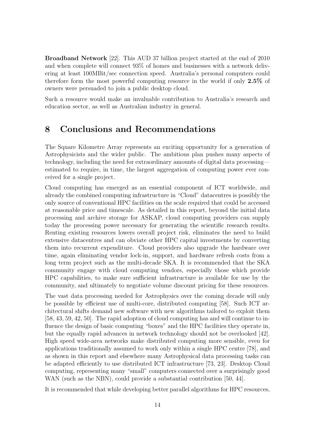Broadband Network [22]. This AUD 37 billion project started at the end of 2010 and when complete will connect 93% of homes and businesses with a network delivering at least 100MBit/sec connection speed. Australia's personal computers could therefore form the most powerful computing resource in the world if only 2.5% of owners were persuaded to join a public desktop cloud.

Such a resource would make an invaluable contribution to Australia's research and education sector, as well as Australian industry in general.

### 8 Conclusions and Recommendations

The Square Kilometre Array represents an exciting opportunity for a generation of Astrophysicists and the wider public. The ambitious plan pushes many aspects of technology, including the need for extraordinary amounts of digital data processing estimated to require, in time, the largest aggregation of computing power ever conceived for a single project.

Cloud computing has emerged as an essential component of ICT worldwide, and already the combined computing infrastructure in "Cloud" datacentres is possibly the only source of conventional HPC facilities on the scale required that could be accessed at reasonable price and timescale. As detailed in this report, beyond the initial data processing and archive storage for ASKAP, cloud computing providers can supply today the processing power necessary for generating the scientific research results. Renting existing resources lowers overall project risk, eliminates the need to build extensive datacentres and can obviate other HPC capital investments by converting them into recurrent expenditure. Cloud providers also upgrade the hardware over time, again eliminating vendor lock-in, support, and hardware refresh costs from a long term project such as the multi-decade SKA. It is recommended that the SKA community engage with cloud computing vendors, especially those which provide HPC capabilities, to make sure sufficient infrastructure is available for use by the community, and ultimately to negotiate volume discount pricing for these resources.

The vast data processing needed for Astrophysics over the coming decade will only be possible by efficient use of multi-core, distributed computing [58]. Such ICT architectural shifts demand new software with new algorithms tailored to exploit them [58, 43, 59, 42, 50]. The rapid adoption of cloud computing has and will continue to influence the design of basic computing "boxes" and the HPC facilities they operate in, but the equally rapid advances in network technology should not be overlooked [42]. High speed wide-area networks make distributed computing more sensible, even for applications traditionally assumed to work only within a single HPC centre [78], and as shown in this report and elsewhere many Astrophysical data processing tasks can be adapted efficiently to use distributed ICT infrastructure [73, 23]. Desktop Cloud computing, representing many "small" computers connected over a surprisingly good WAN (such as the NBN), could provide a substantial contribution [50, 44].

It is recommended that while developing better parallel algorithms for HPC resources,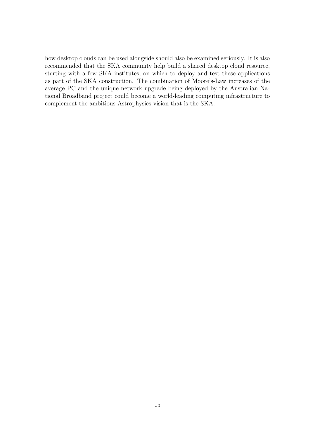how desktop clouds can be used alongside should also be examined seriously. It is also recommended that the SKA community help build a shared desktop cloud resource, starting with a few SKA institutes, on which to deploy and test these applications as part of the SKA construction. The combination of Moore's-Law increases of the average PC and the unique network upgrade being deployed by the Australian National Broadband project could become a world-leading computing infrastructure to complement the ambitious Astrophysics vision that is the SKA.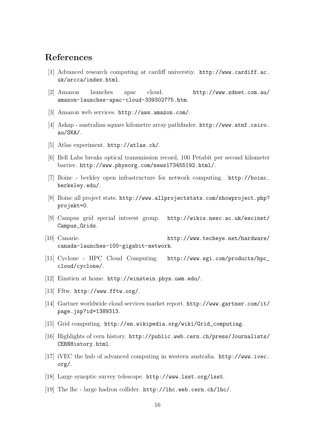## References

- [1] Advanced research computing at cardiff universtiy. http://www.cardiff.ac. uk/arcca/index.html.
- [2] Amazon launches apac cloud. http://www.zdnet.com.au/ amazon-launches-apac-cloud-339302775.htm.
- [3] Amazon web services. http://aws.amazon.com/.
- [4] Askap australian square kilometre array pathfinder. http://www.atnf.csiro. au/SKA/.
- [5] Atlas experiment. http://atlas.ch/.
- [6] Bell Labs breaks optical transmission record, 100 Petabit per second kilometer barrier. http://www.physorg.com/news173455192.html/.
- [7] Boinc berkley open infrastructure for network computing. http://boinc. berkeley.edu/.
- [8] Boinc all project stats. http://www.allprojectstats.com/showproject.php? projekt=0.
- [9] Campus grid special interest group. http://wikis.nesc.ac.uk/escinet/ Campus\_Grids.
- [10] Canarie. http://www.techeye.net/hardware/ canada-launches-100-gigabit-network.
- [11] Cyclone HPC Cloud Computing. http://www.sgi.com/products/hpc\_ cloud/cyclone/.
- [12] Einstien at home. http://einstein.phys.uwm.edu/.
- [13] Fftw. http://www.fftw.org/.
- [14] Gartner worldwide cloud services market report. http://www.gartner.com/it/ page.jsp?id=1389313.
- [15] Grid computing. http://en.wikipedia.org/wiki/Grid\_computing.
- [16] Highlights of cern history. http://public.web.cern.ch/press/Journalists/ CERNHistory.html.
- [17] iVEC the hub of advanced computing in western australia. http://www.ivec. org/.
- [18] Large synoptic survey telescope. http://www.lsst.org/lsst.
- [19] The lhc large hadron collider. http://lhc.web.cern.ch/lhc/.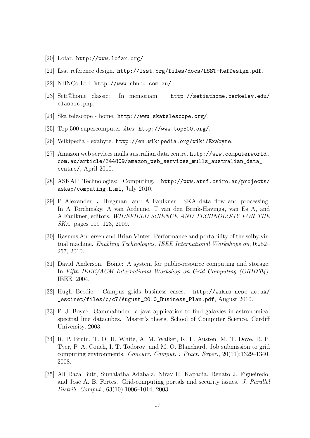- [20] Lofar. http://www.lofar.org/.
- [21] Lsst reference design. http://lsst.org/files/docs/LSST-RefDesign.pdf.
- [22] NBNCo Ltd. http://www.nbnco.com.au/.
- [23] Seti@home classic: In memoriam. http://setiathome.berkeley.edu/ classic.php.
- [24] Ska telescope home. http://www.skatelescope.org/.
- [25] Top 500 supercomputer sites. http://www.top500.org/.
- [26] Wikipedia exabyte. http://en.wikipedia.org/wiki/Exabyte.
- [27] Amazon web services mulls australian data centre. http://www.computerworld. com.au/article/344809/amazon\_web\_services\_mulls\_australian\_data\_ centre/, April 2010.
- [28] ASKAP Technologies: Computing. http://www.atnf.csiro.au/projects/ askap/computing.html, July 2010.
- [29] P Alexander, J Bregman, and A Faulkner. SKA data flow and processing. In A Torchinsky, A van Ardenne, T van den Brink-Havinga, van Es A, and A Faulkner, editors, WIDEFIELD SCIENCE AND TECHNOLOGY FOR THE SKA, pages 119–123, 2009.
- [30] Rasmus Andersen and Brian Vinter. Performance and portability of the sciby virtual machine. Enabling Technologies, IEEE International Workshops on, 0:252– 257, 2010.
- [31] David Anderson. Boinc: A system for public-resource computing and storage. In Fifth IEEE/ACM International Workshop on Grid Computing (GRID'04). IEEE, 2004.
- [32] Hugh Beedie. Campus grids business cases. http://wikis.nesc.ac.uk/ \_escinet/files/c/c7/August\_2010\_Business\_Plan.pdf, August 2010.
- [33] P. J. Boyce. Gammafinder: a java application to find galaxies in astronomical spectral line datacubes. Master's thesis, School of Computer Science, Cardiff University, 2003.
- [34] R. P. Bruin, T. O. H. White, A. M. Walker, K. F. Austen, M. T. Dove, R. P. Tyer, P. A. Couch, I. T. Todorov, and M. O. Blanchard. Job submission to grid computing environments. Concurr. Comput. : Pract. Exper., 20(11):1329–1340, 2008.
- [35] Ali Raza Butt, Sumalatha Adabala, Nirav H. Kapadia, Renato J. Figueiredo, and José A. B. Fortes. Grid-computing portals and security issues. J. Parallel Distrib. Comput., 63(10):1006–1014, 2003.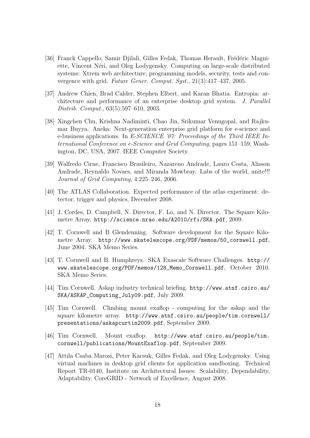- [36] Franck Cappello, Samir Djilali, Gilles Fedak, Thomas Herault, Frédéric Magniette, Vincent N´eri, and Oleg Lodygensky. Computing on large-scale distributed systems: Xtrem web architecture, programming models, security, tests and convergence with grid. Future Gener. Comput. Syst., 21(3):417–437, 2005.
- [37] Andrew Chien, Brad Calder, Stephen Elbert, and Karan Bhatia. Entropia: architecture and performance of an enterprise desktop grid system. J. Parallel Distrib. Comput., 63(5):597–610, 2003.
- [38] Xingchen Chu, Krishna Nadiminti, Chao Jin, Srikumar Venugopal, and Rajkumar Buyya. Aneka: Next-generation enterprise grid platform for e-science and e-business applications. In E-SCIENCE '07: Proceedings of the Third IEEE International Conference on e-Science and Grid Computing, pages 151–159, Washington, DC, USA, 2007. IEEE Computer Society.
- [39] Walfredo Cirne, Francisco Brasileiro, Nazareno Andrade, Lauro Costa, Alisson Andrade, Reynaldo Novaes, and Miranda Mowbray. Labs of the world, unite!!! Journal of Grid Computing, 4:225–246, 2006.
- [40] The ATLAS Collaboration. Expected performance of the atlas experiment: detector, trigger and physics, December 2008.
- [41] J. Cordes, D. Campbell, N. Director, F. Lo, and N. Director. The Square Kilometre Array. http://science.nrao.edu/A2010/rfi/SKA.pdf, 2009.
- [42] T. Cornwell and B Glendenning. Software development for the Square Kilometre Array. http://www.skatelescope.org/PDF/memos/50\_cornwell.pdf, June 2004. SKA Memo Series.
- [43] T. Cornwell and B. Humphreys. SKA Exascale Software Challenges. http:// www.skatelescope.org/PDF/memos/128\_Memo\_Cornwell.pdf, October 2010. SKA Memo Series.
- [44] Tim Cornwell. Askap industry technical briefing. http://www.atnf.csiro.au/ SKA/ASKAP\_Computing\_July09.pdf, July 2009.
- [45] Tim Cornwell. Climbing mount exaflop computing for the askap and the square kilometre array. http://www.atnf.csiro.au/people/tim.cornwell/ presentations/askapcurtin2009.pdf, September 2009.
- [46] Tim Cornwell. Mount exaflop. http://www.atnf.csiro.au/people/tim. cornwell/publications/MountExaflop.pdf, September 2009.
- [47] Attila Csaba Marosi, Peter Kacsuk, Gilles Fedak, and Oleg Lodygensky. Using virtual machines in desktop grid clients for application sandboxing. Technical Report TR-0140, Institute on Architectural Issues: Scalability, Dependability, Adaptability, CoreGRID - Network of Excellence, August 2008.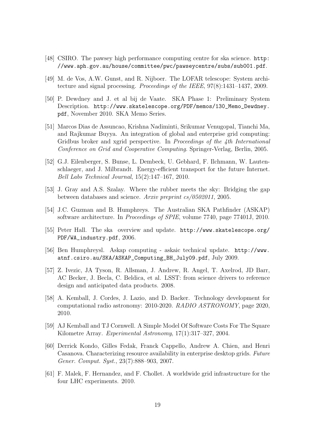- [48] CSIRO. The pawsey high performance computing centre for ska science. http: //www.aph.gov.au/house/committee/pwc/pawseycentre/subs/sub001.pdf.
- [49] M. de Vos, A.W. Gunst, and R. Nijboer. The LOFAR telescope: System architecture and signal processing. Proceedings of the IEEE, 97(8):1431–1437, 2009.
- [50] P. Dewdney and J. et al bij de Vaate. SKA Phase 1: Preliminary System Description. http://www.skatelescope.org/PDF/memos/130\_Memo\_Dewdney. pdf, November 2010. SKA Memo Series.
- [51] Marcos Dias de Assuncao, Krishna Nadiminti, Srikumar Venugopal, Tianchi Ma, and Rajkumar Buyya. An integration of global and enterprise grid computing: Gridbus broker and xgrid perspective. In Proceedings of the 4th International Conference on Grid and Cooperative Computing. Springer-Verlag, Berlin, 2005.
- [52] G.J. Eilenberger, S. Bunse, L. Dembeck, U. Gebhard, F. Ilchmann, W. Lautenschlaeger, and J. Milbrandt. Energy-efficient transport for the future Internet. Bell Labs Technical Journal, 15(2):147–167, 2010.
- [53] J. Gray and A.S. Szalay. Where the rubber meets the sky: Bridging the gap between databases and science. Arxiv preprint cs/0502011, 2005.
- [54] J.C. Guzman and B. Humphreys. The Australian SKA Pathfinder (ASKAP) software architecture. In Proceedings of SPIE, volume 7740, page 77401J, 2010.
- [55] Peter Hall. The ska overview and update. http://www.skatelescope.org/ PDF/WA\_industry.pdf, 2006.
- [56] Ben Humphreysl. Askap computing askaic technical update. http://www. atnf.csiro.au/SKA/ASKAP\_Computing\_BH\_July09.pdf, July 2009.
- [57] Z. Ivezic, JA Tyson, R. Allsman, J. Andrew, R. Angel, T. Axelrod, JD Barr, AC Becker, J. Becla, C. Beldica, et al. LSST: from science drivers to reference design and anticipated data products. 2008.
- [58] A. Kemball, J. Cordes, J. Lazio, and D. Backer. Technology development for computational radio astronomy: 2010-2020. RADIO ASTRONOMY, page 2020, 2010.
- [59] AJ Kemball and TJ Cornwell. A Simple Model Of Software Costs For The Square Kilometre Array. Experimental Astronomy, 17(1):317–327, 2004.
- [60] Derrick Kondo, Gilles Fedak, Franck Cappello, Andrew A. Chien, and Henri Casanova. Characterizing resource availability in enterprise desktop grids. Future Gener. Comput. Syst., 23(7):888–903, 2007.
- [61] F. Malek, F. Hernandez, and F. Chollet. A worldwide grid infrastructure for the four LHC experiments. 2010.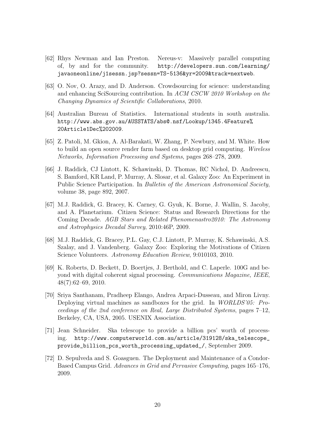- [62] Rhys Newman and Ian Preston. Nereus-v: Massively parallel computing of, by and for the community. http://developers.sun.com/learning/ javaoneonline/j1sessn.jsp?sessn=TS-5136&yr=2009&track=nextweb.
- [63] O. Nov, O. Arazy, and D. Anderson. Crowdsourcing for science: understanding and enhancing SciSourcing contribution. In ACM CSCW 2010 Workshop on the Changing Dynamics of Scientific Collaborations, 2010.
- [64] Australian Bureau of Statistics. International students in south australia. http://www.abs.gov.au/AUSSTATS/abs@.nsf/Lookup/1345.4Feature% 20Article1Dec%202009.
- [65] Z. Patoli, M. Gkion, A. Al-Barakati, W. Zhang, P. Newbury, and M. White. How to build an open source render farm based on desktop grid computing. Wireless Networks, Information Processing and Systems, pages 268–278, 2009.
- [66] J. Raddick, CJ Lintott, K. Schawinski, D. Thomas, RC Nichol, D. Andreescu, S. Bamford, KR Land, P. Murray, A. Slosar, et al. Galaxy Zoo: An Experiment in Public Science Participation. In Bulletin of the American Astronomical Society, volume 38, page 892, 2007.
- [67] M.J. Raddick, G. Bracey, K. Carney, G. Gyuk, K. Borne, J. Wallin, S. Jacoby, and A. Planetarium. Citizen Science: Status and Research Directions for the Coming Decade. AGB Stars and Related Phenomenastro2010: The Astronomy and Astrophysics Decadal Survey, 2010:46P, 2009.
- [68] M.J. Raddick, G. Bracey, P.L. Gay, C.J. Lintott, P. Murray, K. Schawinski, A.S. Szalay, and J. Vandenberg. Galaxy Zoo: Exploring the Motivations of Citizen Science Volunteers. Astronomy Education Review, 9:010103, 2010.
- [69] K. Roberts, D. Beckett, D. Boertjes, J. Berthold, and C. Laperle. 100G and beyond with digital coherent signal processing. Communications Magazine, IEEE, 48(7):62–69, 2010.
- [70] Sriya Santhanam, Pradheep Elango, Andrea Arpaci-Dusseau, and Miron Livny. Deploying virtual machines as sandboxes for the grid. In *WORLDS'05: Pro*ceedings of the 2nd conference on Real, Large Distributed Systems, pages 7–12, Berkeley, CA, USA, 2005. USENIX Association.
- [71] Jean Schneider. Ska telescope to provide a billion pcs' worth of processing. http://www.computerworld.com.au/article/319128/ska\_telescope\_ provide\_billion\_pcs\_worth\_processing\_updated\_/, September 2009.
- [72] D. Sepulveda and S. Goasguen. The Deployment and Maintenance of a Condor-Based Campus Grid. Advances in Grid and Pervasive Computing, pages 165–176, 2009.